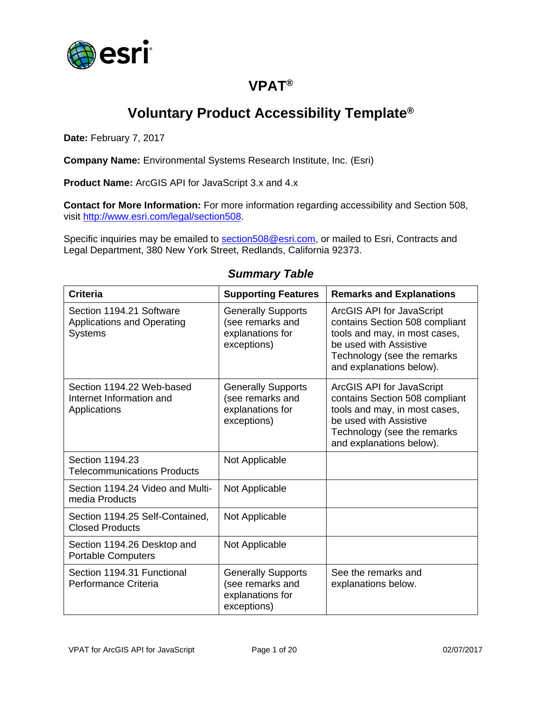

## **VPAT®**

# **Voluntary Product Accessibility Template®**

**Date:** February 7, 2017

**Company Name:** Environmental Systems Research Institute, Inc. (Esri)

**Product Name:** ArcGIS API for JavaScript 3.x and 4.x

**Contact for More Information:** For more information regarding accessibility and Section 508, visit [http://www.esri.com/legal/section508.](http://www.esri.com/legal/section508)

Specific inquiries may be emailed to [section508@esri.com,](mailto:section508@esri.com) or mailed to Esri, Contracts and Legal Department, 380 New York Street, Redlands, California 92373.

| <b>Criteria</b>                                                                 | <b>Supporting Features</b>                                                       | <b>Remarks and Explanations</b>                                                                                                                                                   |
|---------------------------------------------------------------------------------|----------------------------------------------------------------------------------|-----------------------------------------------------------------------------------------------------------------------------------------------------------------------------------|
| Section 1194.21 Software<br><b>Applications and Operating</b><br><b>Systems</b> | <b>Generally Supports</b><br>(see remarks and<br>explanations for<br>exceptions) | ArcGIS API for JavaScript<br>contains Section 508 compliant<br>tools and may, in most cases,<br>be used with Assistive<br>Technology (see the remarks<br>and explanations below). |
| Section 1194.22 Web-based<br>Internet Information and<br>Applications           | <b>Generally Supports</b><br>(see remarks and<br>explanations for<br>exceptions) | ArcGIS API for JavaScript<br>contains Section 508 compliant<br>tools and may, in most cases,<br>be used with Assistive<br>Technology (see the remarks<br>and explanations below). |
| Section 1194.23<br><b>Telecommunications Products</b>                           | Not Applicable                                                                   |                                                                                                                                                                                   |
| Section 1194.24 Video and Multi-<br>media Products                              | Not Applicable                                                                   |                                                                                                                                                                                   |
| Section 1194.25 Self-Contained,<br><b>Closed Products</b>                       | Not Applicable                                                                   |                                                                                                                                                                                   |
| Section 1194.26 Desktop and<br><b>Portable Computers</b>                        | Not Applicable                                                                   |                                                                                                                                                                                   |
| Section 1194.31 Functional<br>Performance Criteria                              | <b>Generally Supports</b><br>(see remarks and<br>explanations for<br>exceptions) | See the remarks and<br>explanations below.                                                                                                                                        |

#### *Summary Table*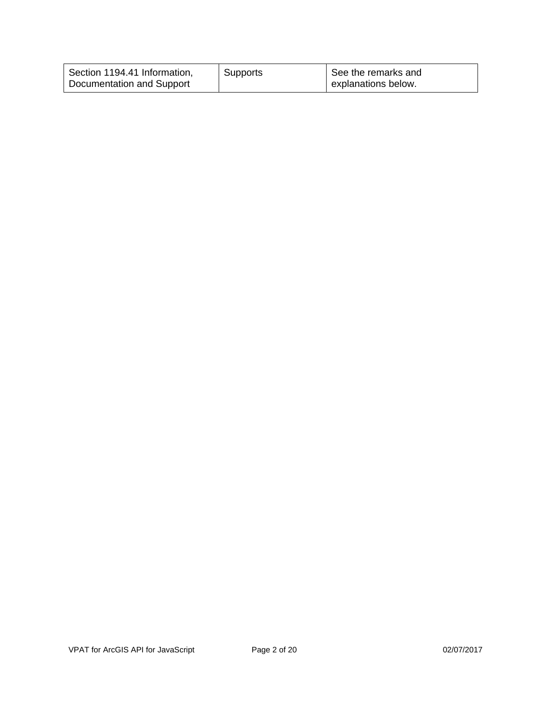| Section 1194.41 Information, | Supports | See the remarks and |
|------------------------------|----------|---------------------|
| Documentation and Support    |          | explanations below. |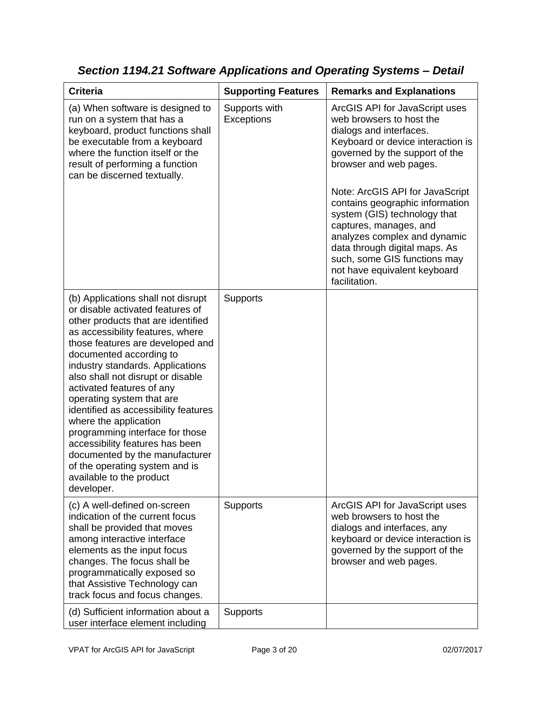| <b>Criteria</b>                                                                                                                                                                                                                                                                                                                                                                                                                                                                                                                                                                                         | <b>Supporting Features</b>  | <b>Remarks and Explanations</b>                                                                                                                                                                                                                                                                                                                                                                                                                                          |
|---------------------------------------------------------------------------------------------------------------------------------------------------------------------------------------------------------------------------------------------------------------------------------------------------------------------------------------------------------------------------------------------------------------------------------------------------------------------------------------------------------------------------------------------------------------------------------------------------------|-----------------------------|--------------------------------------------------------------------------------------------------------------------------------------------------------------------------------------------------------------------------------------------------------------------------------------------------------------------------------------------------------------------------------------------------------------------------------------------------------------------------|
| (a) When software is designed to<br>run on a system that has a<br>keyboard, product functions shall<br>be executable from a keyboard<br>where the function itself or the<br>result of performing a function<br>can be discerned textually.                                                                                                                                                                                                                                                                                                                                                              | Supports with<br>Exceptions | ArcGIS API for JavaScript uses<br>web browsers to host the<br>dialogs and interfaces.<br>Keyboard or device interaction is<br>governed by the support of the<br>browser and web pages.<br>Note: ArcGIS API for JavaScript<br>contains geographic information<br>system (GIS) technology that<br>captures, manages, and<br>analyzes complex and dynamic<br>data through digital maps. As<br>such, some GIS functions may<br>not have equivalent keyboard<br>facilitation. |
| (b) Applications shall not disrupt<br>or disable activated features of<br>other products that are identified<br>as accessibility features, where<br>those features are developed and<br>documented according to<br>industry standards. Applications<br>also shall not disrupt or disable<br>activated features of any<br>operating system that are<br>identified as accessibility features<br>where the application<br>programming interface for those<br>accessibility features has been<br>documented by the manufacturer<br>of the operating system and is<br>available to the product<br>developer. | <b>Supports</b>             |                                                                                                                                                                                                                                                                                                                                                                                                                                                                          |
| (c) A well-defined on-screen<br>indication of the current focus<br>shall be provided that moves<br>among interactive interface<br>elements as the input focus<br>changes. The focus shall be<br>programmatically exposed so<br>that Assistive Technology can<br>track focus and focus changes.                                                                                                                                                                                                                                                                                                          | Supports                    | ArcGIS API for JavaScript uses<br>web browsers to host the<br>dialogs and interfaces, any<br>keyboard or device interaction is<br>governed by the support of the<br>browser and web pages.                                                                                                                                                                                                                                                                               |
| (d) Sufficient information about a<br>user interface element including                                                                                                                                                                                                                                                                                                                                                                                                                                                                                                                                  | Supports                    |                                                                                                                                                                                                                                                                                                                                                                                                                                                                          |

*Section 1194.21 Software Applications and Operating Systems – Detail*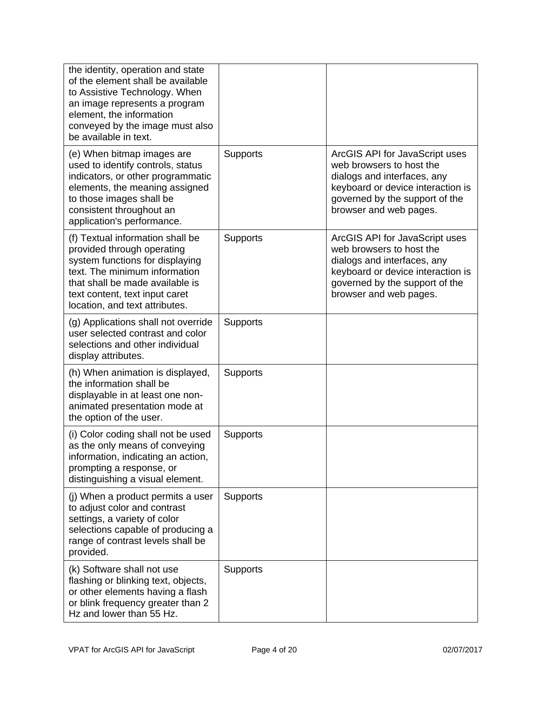| the identity, operation and state<br>of the element shall be available<br>to Assistive Technology. When<br>an image represents a program<br>element, the information<br>conveyed by the image must also<br>be available in text.          |                 |                                                                                                                                                                                            |
|-------------------------------------------------------------------------------------------------------------------------------------------------------------------------------------------------------------------------------------------|-----------------|--------------------------------------------------------------------------------------------------------------------------------------------------------------------------------------------|
| (e) When bitmap images are<br>used to identify controls, status<br>indicators, or other programmatic<br>elements, the meaning assigned<br>to those images shall be<br>consistent throughout an<br>application's performance.              | Supports        | ArcGIS API for JavaScript uses<br>web browsers to host the<br>dialogs and interfaces, any<br>keyboard or device interaction is<br>governed by the support of the<br>browser and web pages. |
| (f) Textual information shall be<br>provided through operating<br>system functions for displaying<br>text. The minimum information<br>that shall be made available is<br>text content, text input caret<br>location, and text attributes. | Supports        | ArcGIS API for JavaScript uses<br>web browsers to host the<br>dialogs and interfaces, any<br>keyboard or device interaction is<br>governed by the support of the<br>browser and web pages. |
| (g) Applications shall not override<br>user selected contrast and color<br>selections and other individual<br>display attributes.                                                                                                         | <b>Supports</b> |                                                                                                                                                                                            |
| (h) When animation is displayed,<br>the information shall be<br>displayable in at least one non-<br>animated presentation mode at<br>the option of the user.                                                                              | <b>Supports</b> |                                                                                                                                                                                            |
| (i) Color coding shall not be used<br>as the only means of conveying<br>information, indicating an action,<br>prompting a response, or<br>distinguishing a visual element.                                                                | <b>Supports</b> |                                                                                                                                                                                            |
| (j) When a product permits a user<br>to adjust color and contrast<br>settings, a variety of color<br>selections capable of producing a<br>range of contrast levels shall be<br>provided.                                                  | Supports        |                                                                                                                                                                                            |
| (k) Software shall not use<br>flashing or blinking text, objects,<br>or other elements having a flash<br>or blink frequency greater than 2<br>Hz and lower than 55 Hz.                                                                    | <b>Supports</b> |                                                                                                                                                                                            |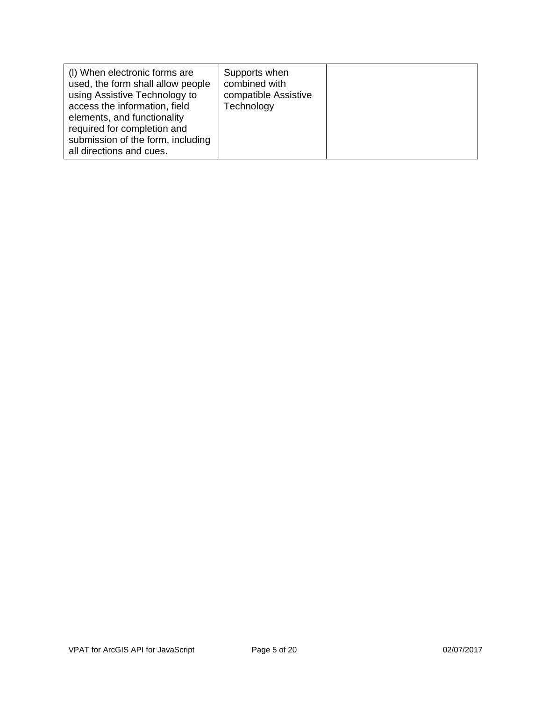| (I) When electronic forms are<br>used, the form shall allow people<br>using Assistive Technology to<br>access the information, field<br>elements, and functionality<br>required for completion and<br>submission of the form, including<br>all directions and cues. | Supports when<br>combined with<br>compatible Assistive<br>Technology |  |
|---------------------------------------------------------------------------------------------------------------------------------------------------------------------------------------------------------------------------------------------------------------------|----------------------------------------------------------------------|--|
|---------------------------------------------------------------------------------------------------------------------------------------------------------------------------------------------------------------------------------------------------------------------|----------------------------------------------------------------------|--|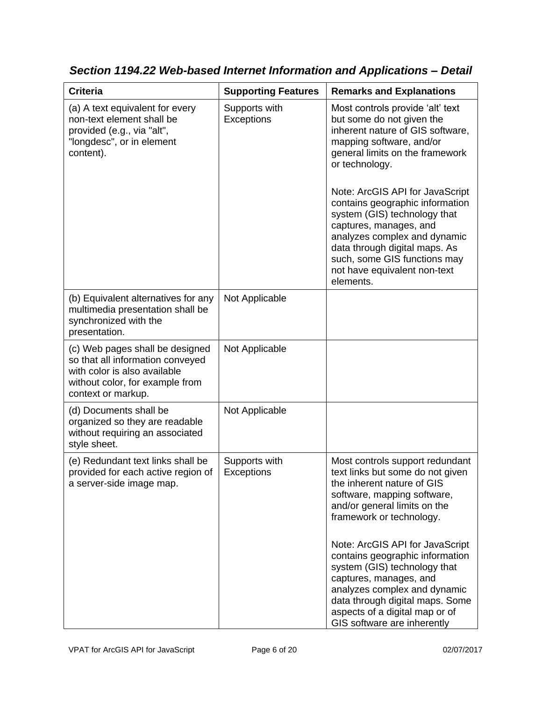| Supports with<br><b>Exceptions</b> | Most controls provide 'alt' text<br>but some do not given the<br>inherent nature of GIS software,<br>mapping software, and/or<br>general limits on the framework<br>or technology.<br>Note: ArcGIS API for JavaScript<br>contains geographic information<br>system (GIS) technology that<br>captures, manages, and<br>analyzes complex and dynamic<br>data through digital maps. As<br>such, some GIS functions may<br>not have equivalent non-text<br>elements. |
|------------------------------------|------------------------------------------------------------------------------------------------------------------------------------------------------------------------------------------------------------------------------------------------------------------------------------------------------------------------------------------------------------------------------------------------------------------------------------------------------------------|
| Not Applicable                     |                                                                                                                                                                                                                                                                                                                                                                                                                                                                  |
| Not Applicable                     |                                                                                                                                                                                                                                                                                                                                                                                                                                                                  |
| Not Applicable                     |                                                                                                                                                                                                                                                                                                                                                                                                                                                                  |
| Supports with<br>Exceptions        | Most controls support redundant<br>text links but some do not given<br>the inherent nature of GIS<br>software, mapping software,<br>and/or general limits on the<br>framework or technology.<br>Note: ArcGIS API for JavaScript<br>contains geographic information<br>system (GIS) technology that<br>captures, manages, and<br>analyzes complex and dynamic<br>data through digital maps. Some<br>aspects of a digital map or of                                |
|                                    |                                                                                                                                                                                                                                                                                                                                                                                                                                                                  |

*Section 1194.22 Web-based Internet Information and Applications – Detail*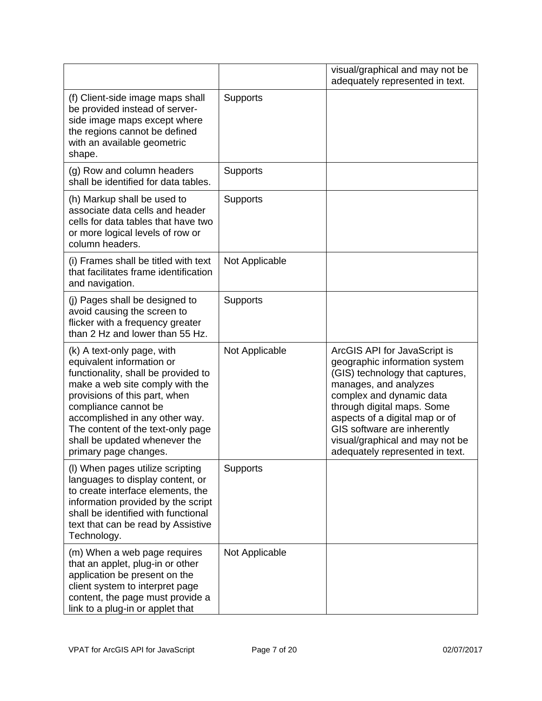|                                                                                                                                                                                                                                                                                                                             |                 | visual/graphical and may not be<br>adequately represented in text.                                                                                                                                                                                                                                                         |
|-----------------------------------------------------------------------------------------------------------------------------------------------------------------------------------------------------------------------------------------------------------------------------------------------------------------------------|-----------------|----------------------------------------------------------------------------------------------------------------------------------------------------------------------------------------------------------------------------------------------------------------------------------------------------------------------------|
| (f) Client-side image maps shall<br>be provided instead of server-<br>side image maps except where<br>the regions cannot be defined<br>with an available geometric<br>shape.                                                                                                                                                | <b>Supports</b> |                                                                                                                                                                                                                                                                                                                            |
| (g) Row and column headers<br>shall be identified for data tables.                                                                                                                                                                                                                                                          | <b>Supports</b> |                                                                                                                                                                                                                                                                                                                            |
| (h) Markup shall be used to<br>associate data cells and header<br>cells for data tables that have two<br>or more logical levels of row or<br>column headers.                                                                                                                                                                | Supports        |                                                                                                                                                                                                                                                                                                                            |
| (i) Frames shall be titled with text<br>that facilitates frame identification<br>and navigation.                                                                                                                                                                                                                            | Not Applicable  |                                                                                                                                                                                                                                                                                                                            |
| (j) Pages shall be designed to<br>avoid causing the screen to<br>flicker with a frequency greater<br>than 2 Hz and lower than 55 Hz.                                                                                                                                                                                        | Supports        |                                                                                                                                                                                                                                                                                                                            |
| (k) A text-only page, with<br>equivalent information or<br>functionality, shall be provided to<br>make a web site comply with the<br>provisions of this part, when<br>compliance cannot be<br>accomplished in any other way.<br>The content of the text-only page<br>shall be updated whenever the<br>primary page changes. | Not Applicable  | ArcGIS API for JavaScript is<br>geographic information system<br>(GIS) technology that captures,<br>manages, and analyzes<br>complex and dynamic data<br>through digital maps. Some<br>aspects of a digital map or of<br>GIS software are inherently<br>visual/graphical and may not be<br>adequately represented in text. |
| (I) When pages utilize scripting<br>languages to display content, or<br>to create interface elements, the<br>information provided by the script<br>shall be identified with functional<br>text that can be read by Assistive<br>Technology.                                                                                 | Supports        |                                                                                                                                                                                                                                                                                                                            |
| (m) When a web page requires<br>that an applet, plug-in or other<br>application be present on the<br>client system to interpret page<br>content, the page must provide a<br>link to a plug-in or applet that                                                                                                                | Not Applicable  |                                                                                                                                                                                                                                                                                                                            |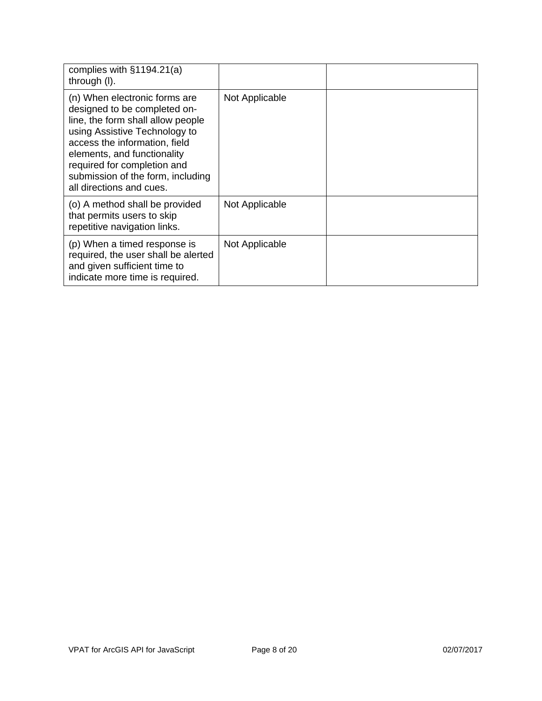| complies with §1194.21(a)<br>through (I).                                                                                                                                                                                                                                                           |                |  |
|-----------------------------------------------------------------------------------------------------------------------------------------------------------------------------------------------------------------------------------------------------------------------------------------------------|----------------|--|
| (n) When electronic forms are<br>designed to be completed on-<br>line, the form shall allow people<br>using Assistive Technology to<br>access the information, field<br>elements, and functionality<br>required for completion and<br>submission of the form, including<br>all directions and cues. | Not Applicable |  |
| (o) A method shall be provided<br>that permits users to skip<br>repetitive navigation links.                                                                                                                                                                                                        | Not Applicable |  |
| (p) When a timed response is<br>required, the user shall be alerted<br>and given sufficient time to<br>indicate more time is required.                                                                                                                                                              | Not Applicable |  |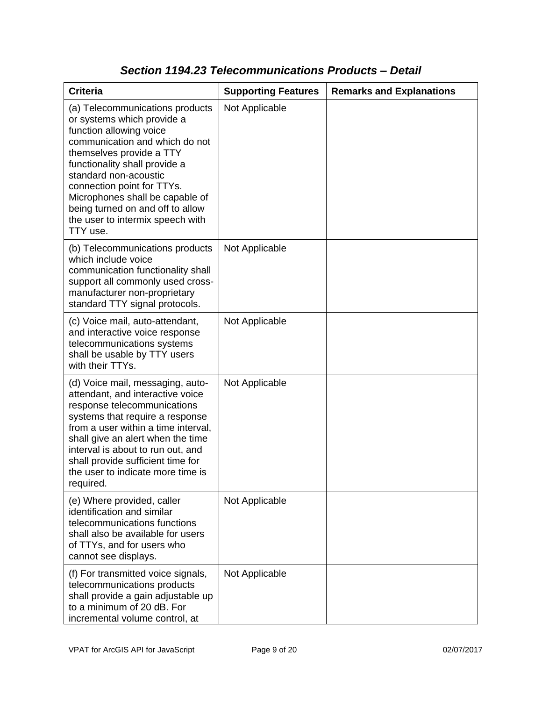| <b>Criteria</b>                                                                                                                                                                                                                                                                                                                                                       | <b>Supporting Features</b> | <b>Remarks and Explanations</b> |
|-----------------------------------------------------------------------------------------------------------------------------------------------------------------------------------------------------------------------------------------------------------------------------------------------------------------------------------------------------------------------|----------------------------|---------------------------------|
| (a) Telecommunications products<br>or systems which provide a<br>function allowing voice<br>communication and which do not<br>themselves provide a TTY<br>functionality shall provide a<br>standard non-acoustic<br>connection point for TTYs.<br>Microphones shall be capable of<br>being turned on and off to allow<br>the user to intermix speech with<br>TTY use. | Not Applicable             |                                 |
| (b) Telecommunications products<br>which include voice<br>communication functionality shall<br>support all commonly used cross-<br>manufacturer non-proprietary<br>standard TTY signal protocols.                                                                                                                                                                     | Not Applicable             |                                 |
| (c) Voice mail, auto-attendant,<br>and interactive voice response<br>telecommunications systems<br>shall be usable by TTY users<br>with their TTYs.                                                                                                                                                                                                                   | Not Applicable             |                                 |
| (d) Voice mail, messaging, auto-<br>attendant, and interactive voice<br>response telecommunications<br>systems that require a response<br>from a user within a time interval,<br>shall give an alert when the time<br>interval is about to run out, and<br>shall provide sufficient time for<br>the user to indicate more time is<br>required.                        | Not Applicable             |                                 |
| (e) Where provided, caller<br>identification and similar<br>telecommunications functions<br>shall also be available for users<br>of TTYs, and for users who<br>cannot see displays.                                                                                                                                                                                   | Not Applicable             |                                 |
| (f) For transmitted voice signals,<br>telecommunications products<br>shall provide a gain adjustable up<br>to a minimum of 20 dB. For<br>incremental volume control, at                                                                                                                                                                                               | Not Applicable             |                                 |

### *Section 1194.23 Telecommunications Products – Detail*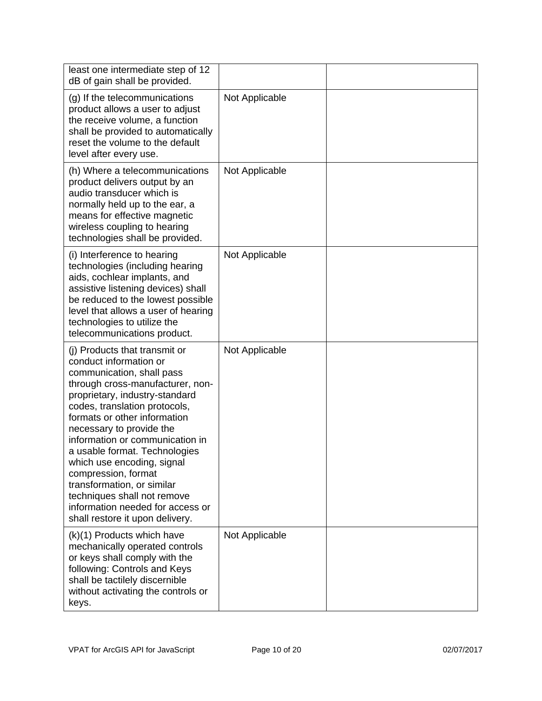| least one intermediate step of 12<br>dB of gain shall be provided.                                                                                                                                                                                                                                                                                                                                                                                                                                                   |                |  |
|----------------------------------------------------------------------------------------------------------------------------------------------------------------------------------------------------------------------------------------------------------------------------------------------------------------------------------------------------------------------------------------------------------------------------------------------------------------------------------------------------------------------|----------------|--|
| (g) If the telecommunications<br>product allows a user to adjust<br>the receive volume, a function<br>shall be provided to automatically<br>reset the volume to the default<br>level after every use.                                                                                                                                                                                                                                                                                                                | Not Applicable |  |
| (h) Where a telecommunications<br>product delivers output by an<br>audio transducer which is<br>normally held up to the ear, a<br>means for effective magnetic<br>wireless coupling to hearing<br>technologies shall be provided.                                                                                                                                                                                                                                                                                    | Not Applicable |  |
| (i) Interference to hearing<br>technologies (including hearing<br>aids, cochlear implants, and<br>assistive listening devices) shall<br>be reduced to the lowest possible<br>level that allows a user of hearing<br>technologies to utilize the<br>telecommunications product.                                                                                                                                                                                                                                       | Not Applicable |  |
| (i) Products that transmit or<br>conduct information or<br>communication, shall pass<br>through cross-manufacturer, non-<br>proprietary, industry-standard<br>codes, translation protocols,<br>formats or other information<br>necessary to provide the<br>information or communication in<br>a usable format. Technologies<br>which use encoding, signal<br>compression, format<br>transformation, or similar<br>techniques shall not remove<br>information needed for access or<br>shall restore it upon delivery. | Not Applicable |  |
| (k)(1) Products which have<br>mechanically operated controls<br>or keys shall comply with the<br>following: Controls and Keys<br>shall be tactilely discernible<br>without activating the controls or<br>keys.                                                                                                                                                                                                                                                                                                       | Not Applicable |  |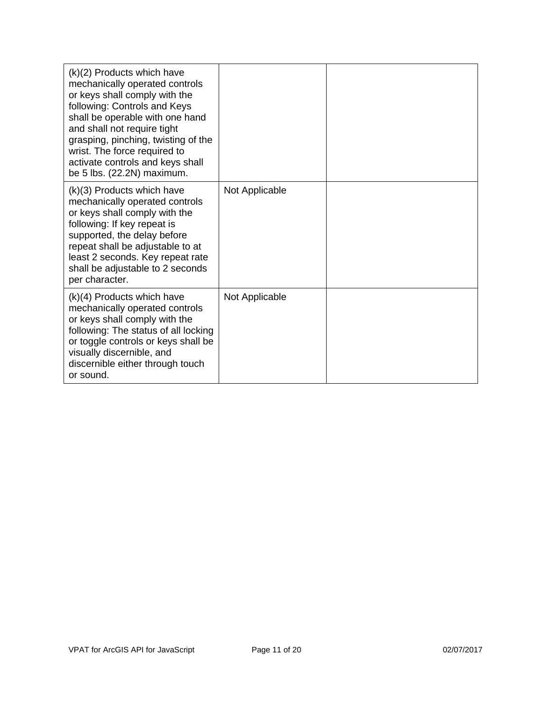| (k)(2) Products which have<br>mechanically operated controls<br>or keys shall comply with the<br>following: Controls and Keys<br>shall be operable with one hand<br>and shall not require tight<br>grasping, pinching, twisting of the<br>wrist. The force required to<br>activate controls and keys shall<br>be 5 lbs. (22.2N) maximum. |                |  |
|------------------------------------------------------------------------------------------------------------------------------------------------------------------------------------------------------------------------------------------------------------------------------------------------------------------------------------------|----------------|--|
| (k)(3) Products which have<br>mechanically operated controls<br>or keys shall comply with the<br>following: If key repeat is<br>supported, the delay before<br>repeat shall be adjustable to at<br>least 2 seconds. Key repeat rate<br>shall be adjustable to 2 seconds<br>per character.                                                | Not Applicable |  |
| $(k)(4)$ Products which have<br>mechanically operated controls<br>or keys shall comply with the<br>following: The status of all locking<br>or toggle controls or keys shall be<br>visually discernible, and<br>discernible either through touch<br>or sound.                                                                             | Not Applicable |  |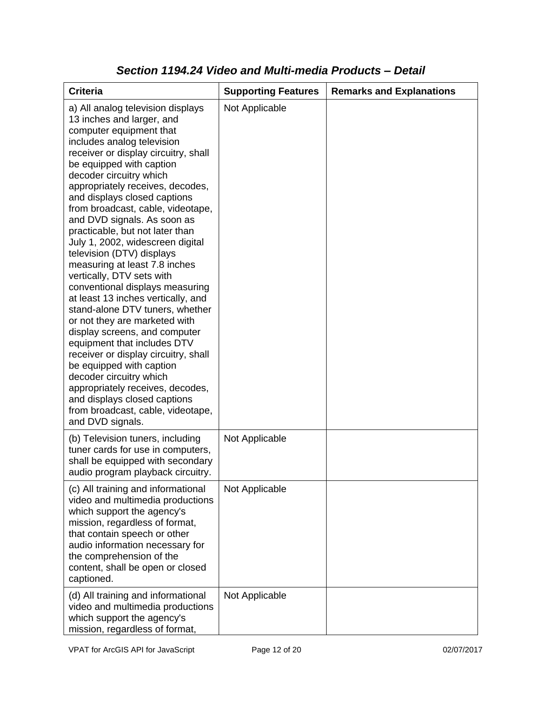| <b>Criteria</b>                                                                                                                                                                                                                                                                                                                                                                                                                                                                                                                                                                                                                                                                                                                                                                                                                                                                                                                                                           | <b>Supporting Features</b> | <b>Remarks and Explanations</b> |
|---------------------------------------------------------------------------------------------------------------------------------------------------------------------------------------------------------------------------------------------------------------------------------------------------------------------------------------------------------------------------------------------------------------------------------------------------------------------------------------------------------------------------------------------------------------------------------------------------------------------------------------------------------------------------------------------------------------------------------------------------------------------------------------------------------------------------------------------------------------------------------------------------------------------------------------------------------------------------|----------------------------|---------------------------------|
| a) All analog television displays<br>13 inches and larger, and<br>computer equipment that<br>includes analog television<br>receiver or display circuitry, shall<br>be equipped with caption<br>decoder circuitry which<br>appropriately receives, decodes,<br>and displays closed captions<br>from broadcast, cable, videotape,<br>and DVD signals. As soon as<br>practicable, but not later than<br>July 1, 2002, widescreen digital<br>television (DTV) displays<br>measuring at least 7.8 inches<br>vertically, DTV sets with<br>conventional displays measuring<br>at least 13 inches vertically, and<br>stand-alone DTV tuners, whether<br>or not they are marketed with<br>display screens, and computer<br>equipment that includes DTV<br>receiver or display circuitry, shall<br>be equipped with caption<br>decoder circuitry which<br>appropriately receives, decodes,<br>and displays closed captions<br>from broadcast, cable, videotape,<br>and DVD signals. | Not Applicable             |                                 |
| (b) Television tuners, including<br>tuner cards for use in computers,<br>shall be equipped with secondary<br>audio program playback circuitry.                                                                                                                                                                                                                                                                                                                                                                                                                                                                                                                                                                                                                                                                                                                                                                                                                            | Not Applicable             |                                 |
| (c) All training and informational<br>video and multimedia productions<br>which support the agency's<br>mission, regardless of format,<br>that contain speech or other<br>audio information necessary for<br>the comprehension of the<br>content, shall be open or closed<br>captioned.                                                                                                                                                                                                                                                                                                                                                                                                                                                                                                                                                                                                                                                                                   | Not Applicable             |                                 |
| (d) All training and informational<br>video and multimedia productions<br>which support the agency's<br>mission, regardless of format,                                                                                                                                                                                                                                                                                                                                                                                                                                                                                                                                                                                                                                                                                                                                                                                                                                    | Not Applicable             |                                 |

#### *Section 1194.24 Video and Multi-media Products – Detail*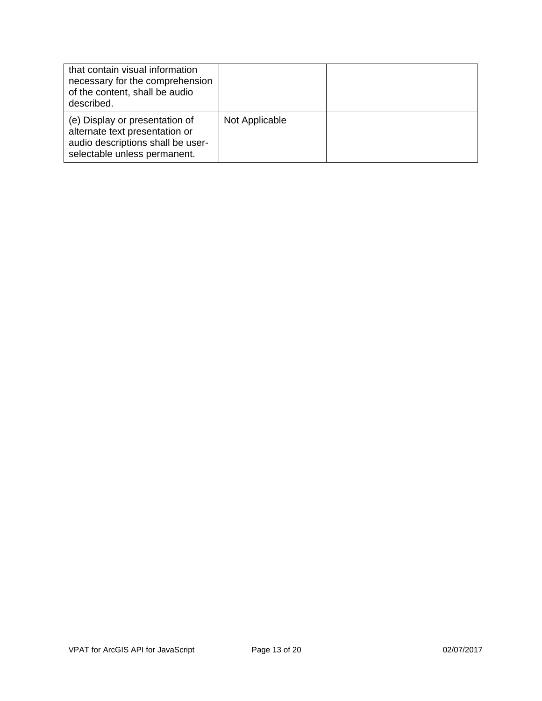| that contain visual information<br>necessary for the comprehension<br>of the content, shall be audio<br>described.                    |                |  |
|---------------------------------------------------------------------------------------------------------------------------------------|----------------|--|
| (e) Display or presentation of<br>alternate text presentation or<br>audio descriptions shall be user-<br>selectable unless permanent. | Not Applicable |  |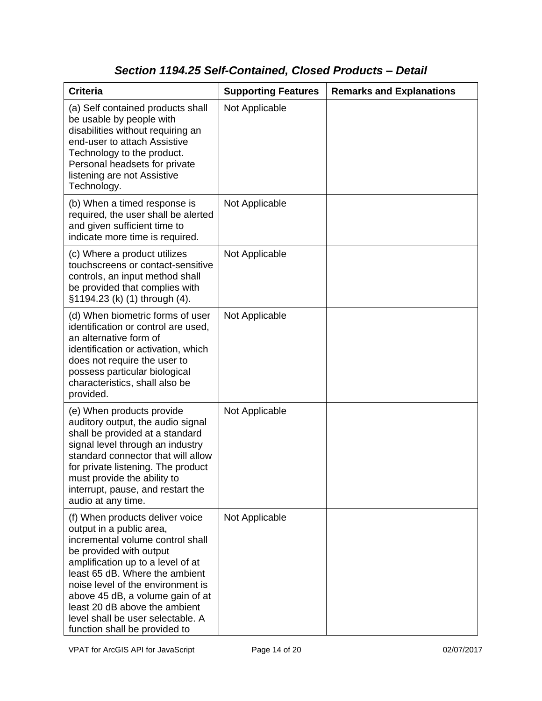## *Section 1194.25 Self-Contained, Closed Products – Detail*

| <b>Criteria</b>                                                                                                                                                                                                                                                                                                                                                                   | <b>Supporting Features</b> | <b>Remarks and Explanations</b> |
|-----------------------------------------------------------------------------------------------------------------------------------------------------------------------------------------------------------------------------------------------------------------------------------------------------------------------------------------------------------------------------------|----------------------------|---------------------------------|
| (a) Self contained products shall<br>be usable by people with<br>disabilities without requiring an<br>end-user to attach Assistive<br>Technology to the product.<br>Personal headsets for private<br>listening are not Assistive<br>Technology.                                                                                                                                   | Not Applicable             |                                 |
| (b) When a timed response is<br>required, the user shall be alerted<br>and given sufficient time to<br>indicate more time is required.                                                                                                                                                                                                                                            | Not Applicable             |                                 |
| (c) Where a product utilizes<br>touchscreens or contact-sensitive<br>controls, an input method shall<br>be provided that complies with<br>§1194.23 (k) (1) through (4).                                                                                                                                                                                                           | Not Applicable             |                                 |
| (d) When biometric forms of user<br>identification or control are used,<br>an alternative form of<br>identification or activation, which<br>does not require the user to<br>possess particular biological<br>characteristics, shall also be<br>provided.                                                                                                                          | Not Applicable             |                                 |
| (e) When products provide<br>auditory output, the audio signal<br>shall be provided at a standard<br>signal level through an industry<br>standard connector that will allow<br>for private listening. The product<br>must provide the ability to<br>interrupt, pause, and restart the<br>audio at any time.                                                                       | Not Applicable             |                                 |
| (f) When products deliver voice<br>output in a public area,<br>incremental volume control shall<br>be provided with output<br>amplification up to a level of at<br>least 65 dB. Where the ambient<br>noise level of the environment is<br>above 45 dB, a volume gain of at<br>least 20 dB above the ambient<br>level shall be user selectable. A<br>function shall be provided to | Not Applicable             |                                 |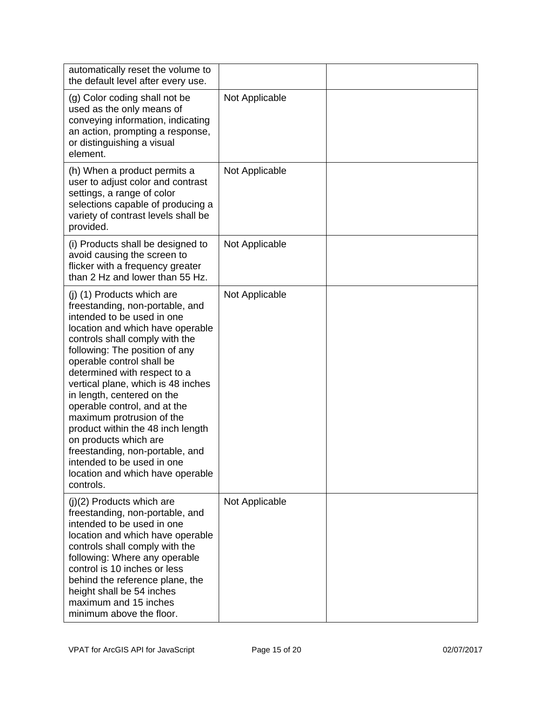| automatically reset the volume to<br>the default level after every use.                                                                                                                                                                                                                                                                                                                                                                                                                                                                                                           |                |  |
|-----------------------------------------------------------------------------------------------------------------------------------------------------------------------------------------------------------------------------------------------------------------------------------------------------------------------------------------------------------------------------------------------------------------------------------------------------------------------------------------------------------------------------------------------------------------------------------|----------------|--|
| (g) Color coding shall not be<br>used as the only means of<br>conveying information, indicating<br>an action, prompting a response,<br>or distinguishing a visual<br>element.                                                                                                                                                                                                                                                                                                                                                                                                     | Not Applicable |  |
| (h) When a product permits a<br>user to adjust color and contrast<br>settings, a range of color<br>selections capable of producing a<br>variety of contrast levels shall be<br>provided.                                                                                                                                                                                                                                                                                                                                                                                          | Not Applicable |  |
| (i) Products shall be designed to<br>avoid causing the screen to<br>flicker with a frequency greater<br>than 2 Hz and lower than 55 Hz.                                                                                                                                                                                                                                                                                                                                                                                                                                           | Not Applicable |  |
| (j) (1) Products which are<br>freestanding, non-portable, and<br>intended to be used in one<br>location and which have operable<br>controls shall comply with the<br>following: The position of any<br>operable control shall be<br>determined with respect to a<br>vertical plane, which is 48 inches<br>in length, centered on the<br>operable control, and at the<br>maximum protrusion of the<br>product within the 48 inch length<br>on products which are<br>freestanding, non-portable, and<br>intended to be used in one<br>location and which have operable<br>controls. | Not Applicable |  |
| $(j)(2)$ Products which are<br>freestanding, non-portable, and<br>intended to be used in one<br>location and which have operable<br>controls shall comply with the<br>following: Where any operable<br>control is 10 inches or less<br>behind the reference plane, the<br>height shall be 54 inches<br>maximum and 15 inches<br>minimum above the floor.                                                                                                                                                                                                                          | Not Applicable |  |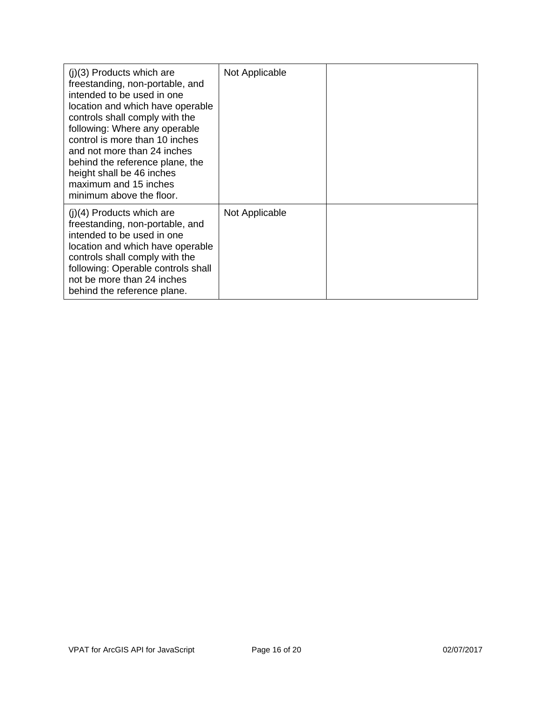| $(i)(3)$ Products which are<br>freestanding, non-portable, and<br>intended to be used in one<br>location and which have operable<br>controls shall comply with the<br>following: Where any operable<br>control is more than 10 inches<br>and not more than 24 inches<br>behind the reference plane, the<br>height shall be 46 inches<br>maximum and 15 inches<br>minimum above the floor. | Not Applicable |  |
|-------------------------------------------------------------------------------------------------------------------------------------------------------------------------------------------------------------------------------------------------------------------------------------------------------------------------------------------------------------------------------------------|----------------|--|
| $(i)(4)$ Products which are<br>freestanding, non-portable, and<br>intended to be used in one<br>location and which have operable<br>controls shall comply with the<br>following: Operable controls shall<br>not be more than 24 inches<br>behind the reference plane.                                                                                                                     | Not Applicable |  |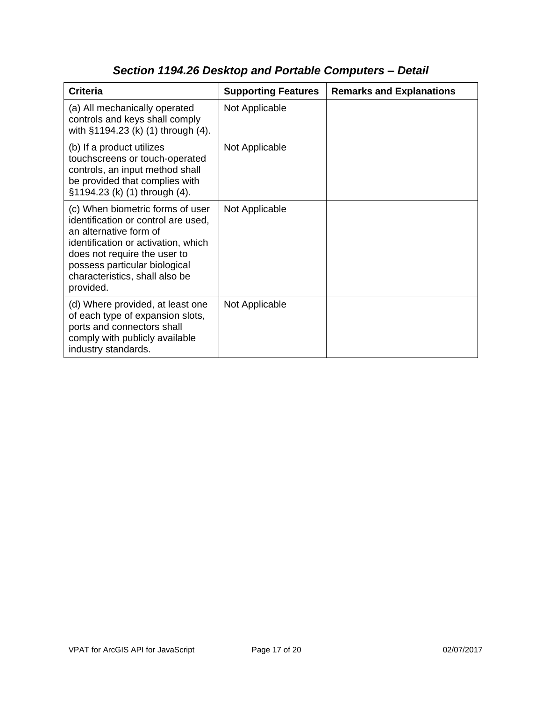| <b>Criteria</b>                                                                                                                                                                                                                                          | <b>Supporting Features</b> | <b>Remarks and Explanations</b> |
|----------------------------------------------------------------------------------------------------------------------------------------------------------------------------------------------------------------------------------------------------------|----------------------------|---------------------------------|
| (a) All mechanically operated<br>controls and keys shall comply<br>with §1194.23 (k) (1) through (4).                                                                                                                                                    | Not Applicable             |                                 |
| (b) If a product utilizes<br>touchscreens or touch-operated<br>controls, an input method shall<br>be provided that complies with<br>§1194.23 (k) (1) through (4).                                                                                        | Not Applicable             |                                 |
| (c) When biometric forms of user<br>identification or control are used,<br>an alternative form of<br>identification or activation, which<br>does not require the user to<br>possess particular biological<br>characteristics, shall also be<br>provided. | Not Applicable             |                                 |
| (d) Where provided, at least one<br>of each type of expansion slots,<br>ports and connectors shall<br>comply with publicly available<br>industry standards.                                                                                              | Not Applicable             |                                 |

# *Section 1194.26 Desktop and Portable Computers – Detail*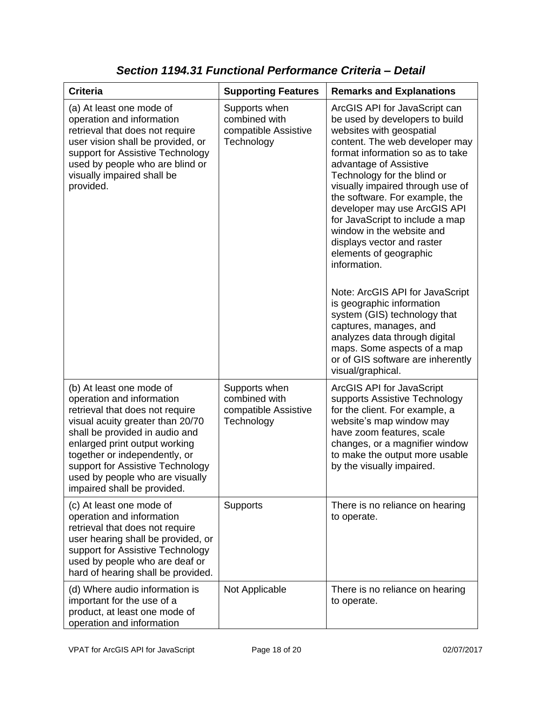| <b>Criteria</b>                                                                                                                                                                                                                                                                                                                        | <b>Supporting Features</b>                                           | <b>Remarks and Explanations</b>                                                                                                                                                                                                                                                                                                                                                                                                                                                                                                                                                                                                                                                                                              |
|----------------------------------------------------------------------------------------------------------------------------------------------------------------------------------------------------------------------------------------------------------------------------------------------------------------------------------------|----------------------------------------------------------------------|------------------------------------------------------------------------------------------------------------------------------------------------------------------------------------------------------------------------------------------------------------------------------------------------------------------------------------------------------------------------------------------------------------------------------------------------------------------------------------------------------------------------------------------------------------------------------------------------------------------------------------------------------------------------------------------------------------------------------|
| (a) At least one mode of<br>operation and information<br>retrieval that does not require<br>user vision shall be provided, or<br>support for Assistive Technology<br>used by people who are blind or<br>visually impaired shall be<br>provided.                                                                                        | Supports when<br>combined with<br>compatible Assistive<br>Technology | ArcGIS API for JavaScript can<br>be used by developers to build<br>websites with geospatial<br>content. The web developer may<br>format information so as to take<br>advantage of Assistive<br>Technology for the blind or<br>visually impaired through use of<br>the software. For example, the<br>developer may use ArcGIS API<br>for JavaScript to include a map<br>window in the website and<br>displays vector and raster<br>elements of geographic<br>information.<br>Note: ArcGIS API for JavaScript<br>is geographic information<br>system (GIS) technology that<br>captures, manages, and<br>analyzes data through digital<br>maps. Some aspects of a map<br>or of GIS software are inherently<br>visual/graphical. |
| (b) At least one mode of<br>operation and information<br>retrieval that does not require<br>visual acuity greater than 20/70<br>shall be provided in audio and<br>enlarged print output working<br>together or independently, or<br>support for Assistive Technology<br>used by people who are visually<br>impaired shall be provided. | Supports when<br>combined with<br>compatible Assistive<br>Technology | ArcGIS API for JavaScript<br>supports Assistive Technology<br>for the client. For example, a<br>website's map window may<br>have zoom features, scale<br>changes, or a magnifier window<br>to make the output more usable<br>by the visually impaired.                                                                                                                                                                                                                                                                                                                                                                                                                                                                       |
| (c) At least one mode of<br>operation and information<br>retrieval that does not require<br>user hearing shall be provided, or<br>support for Assistive Technology<br>used by people who are deaf or<br>hard of hearing shall be provided.                                                                                             | Supports                                                             | There is no reliance on hearing<br>to operate.                                                                                                                                                                                                                                                                                                                                                                                                                                                                                                                                                                                                                                                                               |
| (d) Where audio information is<br>important for the use of a<br>product, at least one mode of<br>operation and information                                                                                                                                                                                                             | Not Applicable                                                       | There is no reliance on hearing<br>to operate.                                                                                                                                                                                                                                                                                                                                                                                                                                                                                                                                                                                                                                                                               |

*Section 1194.31 Functional Performance Criteria – Detail*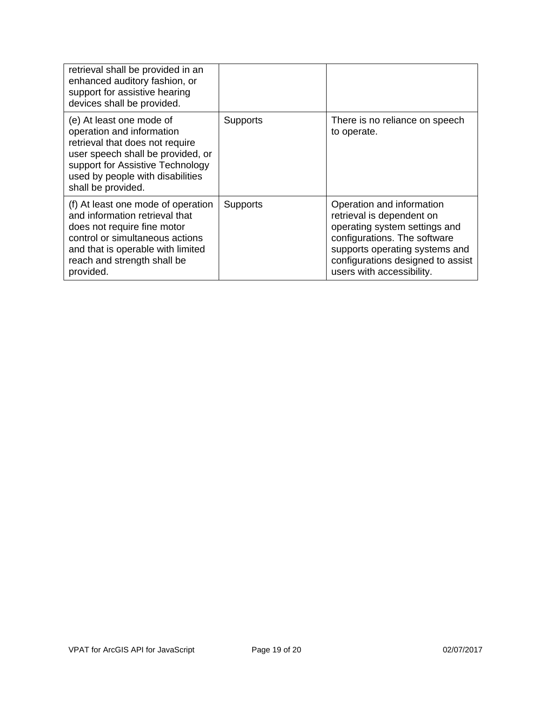| retrieval shall be provided in an<br>enhanced auditory fashion, or<br>support for assistive hearing<br>devices shall be provided.                                                                                           |                 |                                                                                                                                                                                                                             |
|-----------------------------------------------------------------------------------------------------------------------------------------------------------------------------------------------------------------------------|-----------------|-----------------------------------------------------------------------------------------------------------------------------------------------------------------------------------------------------------------------------|
| (e) At least one mode of<br>operation and information<br>retrieval that does not require<br>user speech shall be provided, or<br>support for Assistive Technology<br>used by people with disabilities<br>shall be provided. | Supports        | There is no reliance on speech<br>to operate.                                                                                                                                                                               |
| (f) At least one mode of operation<br>and information retrieval that<br>does not require fine motor<br>control or simultaneous actions<br>and that is operable with limited<br>reach and strength shall be<br>provided.     | <b>Supports</b> | Operation and information<br>retrieval is dependent on<br>operating system settings and<br>configurations. The software<br>supports operating systems and<br>configurations designed to assist<br>users with accessibility. |